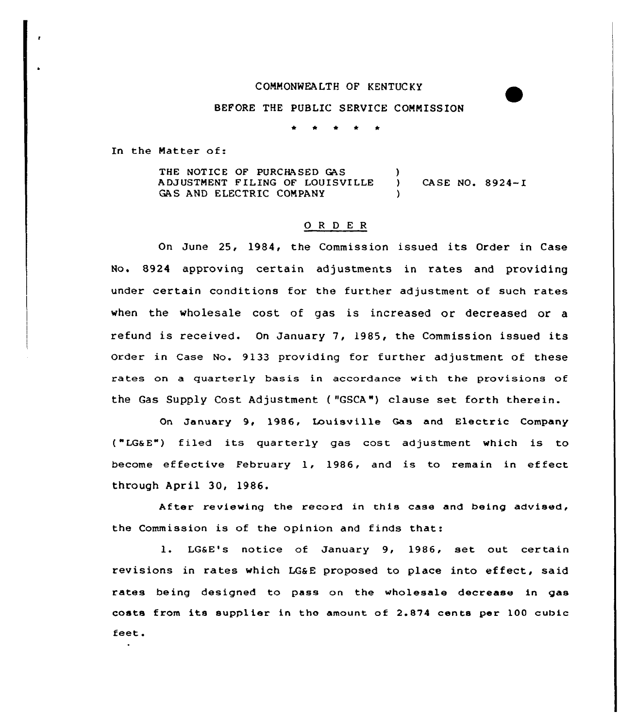# COMMONWEA LTH OF KENTUC KY

# BEFORE THE PUBLIC SERVICE COMMISSION

\* \*

In the Matter of:

THE NOTICE OF PURCHASED GAS ADJUSTMENT FILING OF LOUISVILLE GAS AND ELECTRIC COMPANY  $\lambda$ ) CASE NO. 8924- I )

### 0 <sup>R</sup> <sup>D</sup> E <sup>R</sup>

On June 25, 1984, the Commission issued its Order in Case No, 8924 approving certain adjustments in rates and providing under certain conditions for the further adjustment of such rates when the wholesale cost of gas is increased or decreased or a refund is received. On January 7, 1985, the Commission issued its order in Case No. 9133 providing for further adjustment of these rates on a quarterly basis in accordance with the provisions of the Gas Supply Cost Adjustment ( "GSCA") clause set forth therein.

On January 9, 1986, Louisville Gas and Electric Company ("LGaE") filed its quarterly gas cost adjustment which is to become effective February 1, 1986, and is to remain in effect through April 30, 1986.

After reviewing the record in this case and being advised, the Commission is of the opinion and finds that:

1. LG&E's notice of January 9, 1986, set out certain revisions in rates which LG&E proposed to place into effect, said rates being designed to pass on the wholesale decrease in gas costs from its supplier in the amount of 2.874 cents per 100 cubic feet.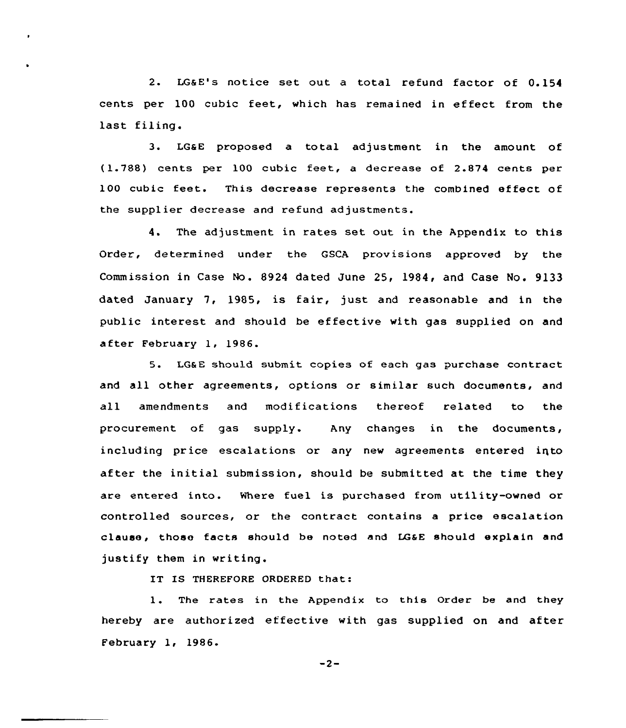2. LGaE's notice set out a total refund factor of 0.154 cents per 100 cubic feet, which has remained in ef feet from the last filing.

3. LGaE proposed a total adjustment in the amount of (1.788) cents per 100 cubic feet, a decrease of 2.874 cents per 100 cubic feet. This decrease represents the combined effect of the supplier decrease and refund adjustments.

4. The adjustment in rates set out in the Appendix to this Order, determined under the GSCA provisions approved by the Commission in Case No . <sup>8924</sup> dated June 25, l984, and Case No. <sup>9133</sup> dated January 7, 1985, is fair, just and reasonable and in the public interest and should be effective with gas supplied on and after February 1, 1986.

5. LG&E should submit copies of each gas purchase contract and all other agreements, options or similar such documents, and all amendments and modifications thereof related to the procurement of gas supply. Any changes in the documents, including price escalations or any new agreements entered into after the initial submission, should be submitted at the time they are entered into. Where fuel is purchased from utility-owned or controlled sources, or the contract contains a price escalation clause, those facts should be noted and LGaE should explain and justify them in writing.

IT IS THEREFORE ORDERED that:

1. The rates in the Appendix to this Order be and they hereby are authorized effective with gas supplied on and after February 1, 1986.

 $-2-$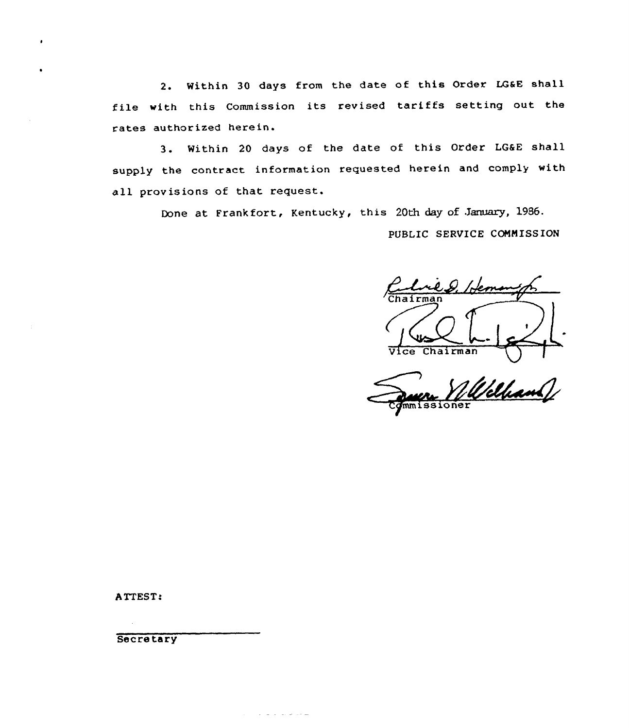2. Within 30 days from the date of this Order LG&E shall file with this Commission its revised tariffs setting out the rates authorized herein.

3. Within 20 days of the date of this Order LG&E shall supply the contract information requested herein and comply with all provisions of that request.

Done at Frankfort, Kentucky, this 20th day of January, 1986.

PUBLIC SERVICE COMMISSION

e de Hema Chairman  $\sqrt{vec}$ 

Wilh mmissioner

ATTEST:

Secretary

سامات سائما الأرامات